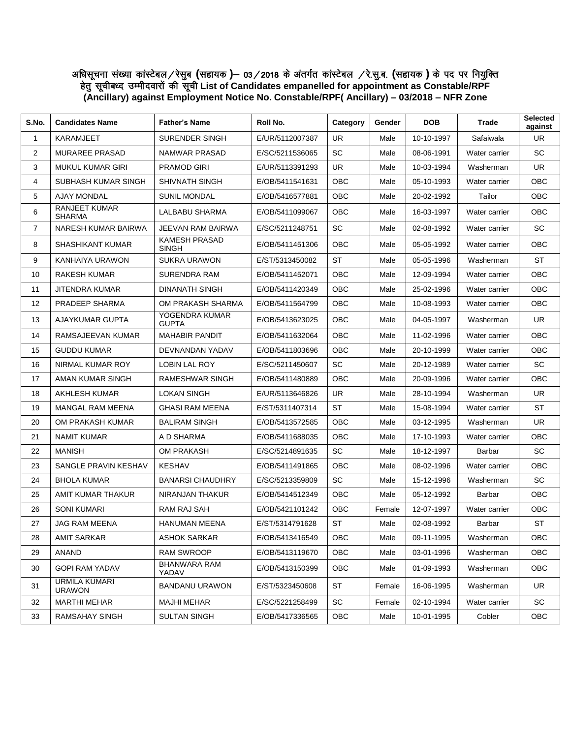## अधिसूचना संख्या कांस्टेबल ⁄ रेसुब (सहायक **)**— 03 ⁄ 2018 के अंतर्गत कांस्टेबल ⁄ रे.सु.ब. (सहायक ) के पद पर नियुक्ति हेतु सूचीबध्द उम्मीदवारों की सूची List of Candidates empanelled for appointment as Constable/RPF **(Ancillary) against Employment Notice No. Constable/RPF( Ancillary) – 03/2018 – NFR Zone**

| S.No.          | <b>Candidates Name</b>                | <b>Father's Name</b>                 | Roll No.        | Category   | Gender | <b>DOB</b> | Trade         | Selected<br>against |
|----------------|---------------------------------------|--------------------------------------|-----------------|------------|--------|------------|---------------|---------------------|
| $\mathbf{1}$   | <b>KARAMJEET</b>                      | <b>SURENDER SINGH</b>                | E/UR/5112007387 | <b>UR</b>  | Male   | 10-10-1997 | Safaiwala     | <b>UR</b>           |
| $\overline{2}$ | <b>MURAREE PRASAD</b>                 | NAMWAR PRASAD                        | E/SC/5211536065 | SC         | Male   | 08-06-1991 | Water carrier | <b>SC</b>           |
| 3              | <b>MUKUL KUMAR GIRI</b>               | <b>PRAMOD GIRI</b>                   | E/UR/5113391293 | UR.        | Male   | 10-03-1994 | Washerman     | <b>UR</b>           |
| 4              | SUBHASH KUMAR SINGH                   | SHIVNATH SINGH                       | E/OB/5411541631 | OBC        | Male   | 05-10-1993 | Water carrier | ОВС                 |
| 5              | <b>AJAY MONDAL</b>                    | <b>SUNIL MONDAL</b>                  | E/OB/5416577881 | OBC        | Male   | 20-02-1992 | Tailor        | ОВС                 |
| 6              | <b>RANJEET KUMAR</b><br><b>SHARMA</b> | LALBABU SHARMA                       | E/OB/5411099067 | OBC        | Male   | 16-03-1997 | Water carrier | <b>OBC</b>          |
| $\overline{7}$ | NARESH KUMAR BAIRWA                   | JEEVAN RAM BAIRWA                    | E/SC/5211248751 | SC         | Male   | 02-08-1992 | Water carrier | <b>SC</b>           |
| 8              | <b>SHASHIKANT KUMAR</b>               | <b>KAMESH PRASAD</b><br><b>SINGH</b> | E/OB/5411451306 | OBC        | Male   | 05-05-1992 | Water carrier | <b>OBC</b>          |
| 9              | KANHAIYA URAWON                       | <b>SUKRA URAWON</b>                  | E/ST/5313450082 | <b>ST</b>  | Male   | 05-05-1996 | Washerman     | <b>ST</b>           |
| 10             | <b>RAKESH KUMAR</b>                   | <b>SURENDRA RAM</b>                  | E/OB/5411452071 | <b>OBC</b> | Male   | 12-09-1994 | Water carrier | <b>OBC</b>          |
| 11             | JITENDRA KUMAR                        | <b>DINANATH SINGH</b>                | E/OB/5411420349 | OBC        | Male   | 25-02-1996 | Water carrier | OBC                 |
| 12             | PRADEEP SHARMA                        | OM PRAKASH SHARMA                    | E/OB/5411564799 | OBC        | Male   | 10-08-1993 | Water carrier | ОВС                 |
| 13             | AJAYKUMAR GUPTA                       | YOGENDRA KUMAR<br><b>GUPTA</b>       | E/OB/5413623025 | <b>OBC</b> | Male   | 04-05-1997 | Washerman     | UR.                 |
| 14             | RAMSAJEEVAN KUMAR                     | <b>MAHABIR PANDIT</b>                | E/OB/5411632064 | OBC        | Male   | 11-02-1996 | Water carrier | OBC                 |
| 15             | <b>GUDDU KUMAR</b>                    | DEVNANDAN YADAV                      | E/OB/5411803696 | <b>OBC</b> | Male   | 20-10-1999 | Water carrier | ОВС                 |
| 16             | NIRMAL KUMAR ROY                      | <b>LOBIN LAL ROY</b>                 | E/SC/5211450607 | <b>SC</b>  | Male   | 20-12-1989 | Water carrier | <b>SC</b>           |
| 17             | AMAN KUMAR SINGH                      | RAMESHWAR SINGH                      | E/OB/5411480889 | OBC        | Male   | 20-09-1996 | Water carrier | <b>OBC</b>          |
| 18             | AKHLESH KUMAR                         | <b>LOKAN SINGH</b>                   | E/UR/5113646826 | UR.        | Male   | 28-10-1994 | Washerman     | UR.                 |
| 19             | <b>MANGAL RAM MEENA</b>               | <b>GHASI RAM MEENA</b>               | E/ST/5311407314 | <b>ST</b>  | Male   | 15-08-1994 | Water carrier | <b>ST</b>           |
| 20             | OM PRAKASH KUMAR                      | <b>BALIRAM SINGH</b>                 | E/OB/5413572585 | OBC        | Male   | 03-12-1995 | Washerman     | <b>UR</b>           |
| 21             | <b>NAMIT KUMAR</b>                    | A D SHARMA                           | E/OB/5411688035 | <b>OBC</b> | Male   | 17-10-1993 | Water carrier | ОВС                 |
| 22             | <b>MANISH</b>                         | <b>OM PRAKASH</b>                    | E/SC/5214891635 | <b>SC</b>  | Male   | 18-12-1997 | Barbar        | <b>SC</b>           |
| 23             | SANGLE PRAVIN KESHAV                  | <b>KESHAV</b>                        | E/OB/5411491865 | <b>OBC</b> | Male   | 08-02-1996 | Water carrier | ОВС                 |
| 24             | <b>BHOLA KUMAR</b>                    | <b>BANARSI CHAUDHRY</b>              | E/SC/5213359809 | <b>SC</b>  | Male   | 15-12-1996 | Washerman     | <b>SC</b>           |
| 25             | AMIT KUMAR THAKUR                     | NIRANJAN THAKUR                      | E/OB/5414512349 | OBC        | Male   | 05-12-1992 | Barbar        | ОВС                 |
| 26             | <b>SONI KUMARI</b>                    | <b>RAM RAJ SAH</b>                   | E/OB/5421101242 | OBC        | Female | 12-07-1997 | Water carrier | ОВС                 |
| 27             | <b>JAG RAM MEENA</b>                  | <b>HANUMAN MEENA</b>                 | E/ST/5314791628 | <b>ST</b>  | Male   | 02-08-1992 | Barbar        | <b>ST</b>           |
| 28             | <b>AMIT SARKAR</b>                    | <b>ASHOK SARKAR</b>                  | E/OB/5413416549 | OBC        | Male   | 09-11-1995 | Washerman     | OBC                 |
| 29             | ANAND                                 | <b>RAM SWROOP</b>                    | E/OB/5413119670 | OBC        | Male   | 03-01-1996 | Washerman     | OBC.                |
| 30             | <b>GOPI RAM YADAV</b>                 | <b>BHANWARA RAM</b><br>YADAV         | E/OB/5413150399 | OBC        | Male   | 01-09-1993 | Washerman     | OBC.                |
| 31             | <b>URMILA KUMARI</b><br><b>URAWON</b> | <b>BANDANU URAWON</b>                | E/ST/5323450608 | ST         | Female | 16-06-1995 | Washerman     | <b>UR</b>           |
| 32             | <b>MARTHI MEHAR</b>                   | <b>MAJHI MEHAR</b>                   | E/SC/5221258499 | <b>SC</b>  | Female | 02-10-1994 | Water carrier | <b>SC</b>           |
| 33             | RAMSAHAY SINGH                        | <b>SULTAN SINGH</b>                  | E/OB/5417336565 | OBC        | Male   | 10-01-1995 | Cobler        | <b>OBC</b>          |